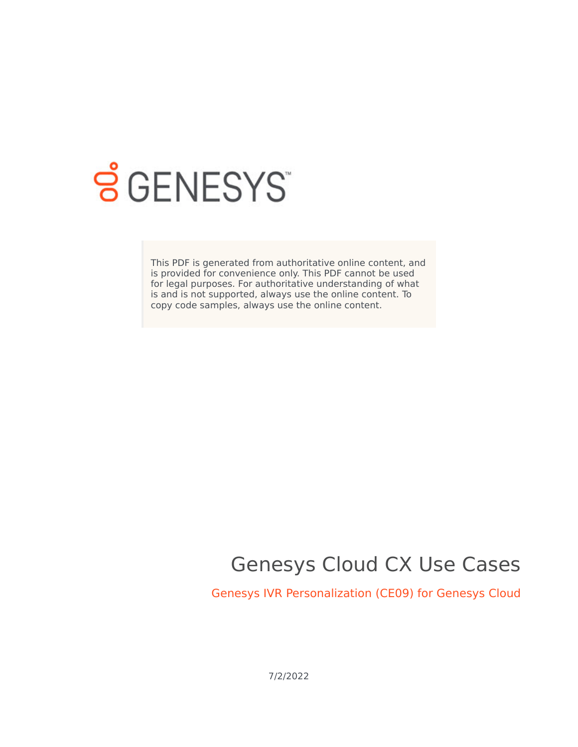

# **SGENESYS**

This PDF is generated from authoritative online content, and is provided for convenience only. This PDF cannot be used for legal purposes. For authoritative understanding of what is and is not supported, always use the online content. To copy code samples, always use the online content.

## Genesys Cloud CX Use Cases

Genesys IVR Personalization (CE09) for Genesys Cloud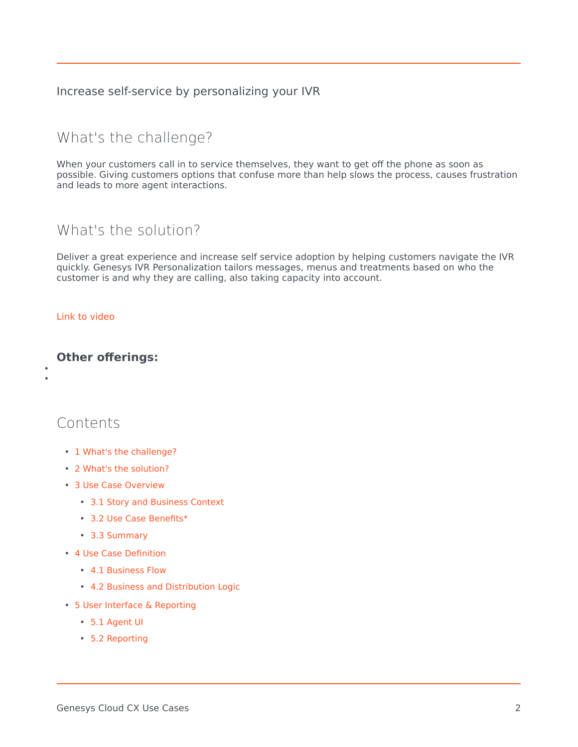Increase self-service by personalizing your IVR

## <span id="page-1-0"></span>What's the challenge?

When your customers call in to service themselves, they want to get off the phone as soon as possible. Giving customers options that confuse more than help slows the process, causes frustration and leads to more agent interactions.

## <span id="page-1-1"></span>What's the solution?

Deliver a great experience and increase self service adoption by helping customers navigate the IVR quickly. Genesys IVR Personalization tailors messages, menus and treatments based on who the customer is and why they are calling, also taking capacity into account.

#### [Link to video](https://player.vimeo.com/video/463028065?title=0&byline=0&portrait=0)

• •

#### **Other offerings:**

### Contents

- 1 [What's the challenge?](#page-1-0)
- 2 [What's the solution?](#page-1-1)
- 3 [Use Case Overview](#page-3-0)
	- 3.1 [Story and Business Context](#page-3-1)
	- 3.2 [Use Case Benefits\\*](#page-3-2)
	- 3.3 [Summary](#page-3-3)
- 4 [Use Case Definition](#page-4-0)
	- 4.1 [Business Flow](#page-4-1)
	- 4.2 [Business and Distribution Logic](#page-5-0)
- 5 [User Interface & Reporting](#page-7-0) 
	- 5.1 [Agent UI](#page-7-1)
	- 5.2 [Reporting](#page-7-2)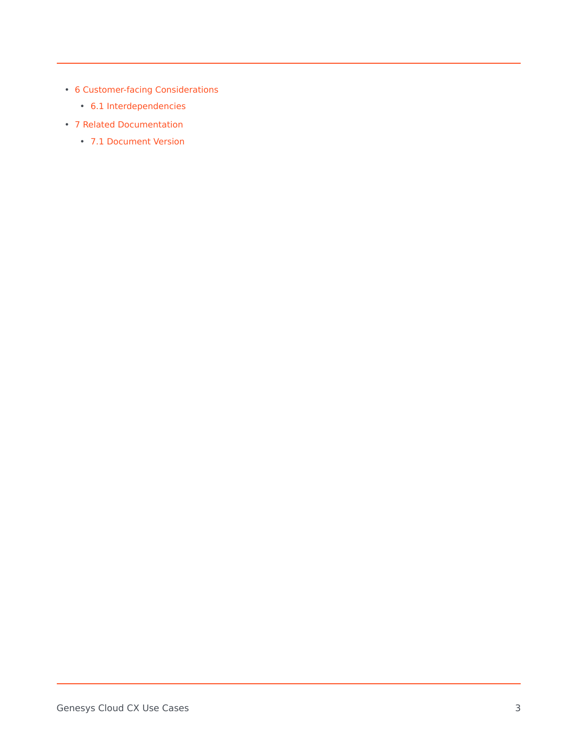- 6 [Customer-facing Considerations](#page-7-3)
	- 6.1 [Interdependencies](#page-7-4)
- 7 [Related Documentation](#page-8-0)
	- 7.1 [Document Version](#page-8-1)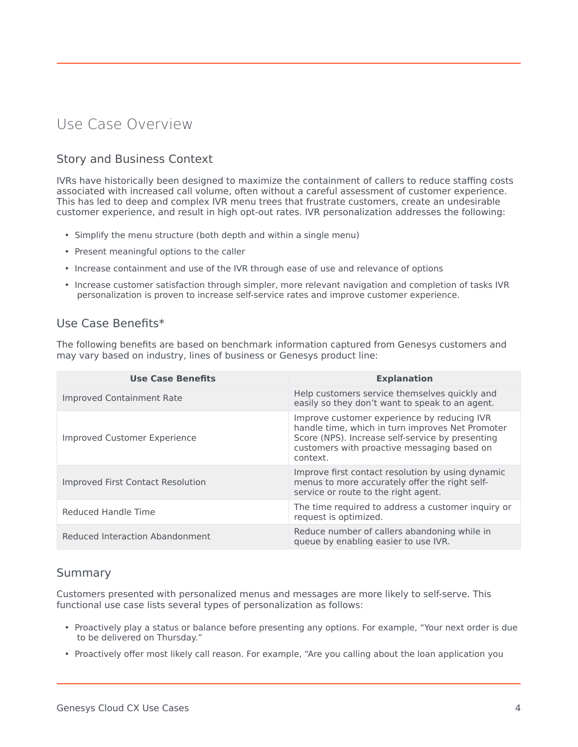## <span id="page-3-0"></span>Use Case Overview

#### <span id="page-3-1"></span>Story and Business Context

IVRs have historically been designed to maximize the containment of callers to reduce staffing costs associated with increased call volume, often without a careful assessment of customer experience. This has led to deep and complex IVR menu trees that frustrate customers, create an undesirable customer experience, and result in high opt-out rates. IVR personalization addresses the following:

- Simplify the menu structure (both depth and within a single menu)
- Present meaningful options to the caller
- Increase containment and use of the IVR through ease of use and relevance of options
- Increase customer satisfaction through simpler, more relevant navigation and completion of tasks IVR personalization is proven to increase self-service rates and improve customer experience.

#### <span id="page-3-2"></span>Use Case Benefits\*

The following benefits are based on benchmark information captured from Genesys customers and may vary based on industry, lines of business or Genesys product line:

| <b>Use Case Benefits</b>          | <b>Explanation</b>                                                                                                                                                                                             |
|-----------------------------------|----------------------------------------------------------------------------------------------------------------------------------------------------------------------------------------------------------------|
| Improved Containment Rate         | Help customers service themselves quickly and<br>easily so they don't want to speak to an agent.                                                                                                               |
| Improved Customer Experience      | Improve customer experience by reducing IVR<br>handle time, which in turn improves Net Promoter<br>Score (NPS). Increase self-service by presenting<br>customers with proactive messaging based on<br>context. |
| Improved First Contact Resolution | Improve first contact resolution by using dynamic<br>menus to more accurately offer the right self-<br>service or route to the right agent.                                                                    |
| Reduced Handle Time               | The time required to address a customer inquiry or<br>request is optimized.                                                                                                                                    |
| Reduced Interaction Abandonment   | Reduce number of callers abandoning while in<br>queue by enabling easier to use IVR.                                                                                                                           |

#### <span id="page-3-3"></span>Summary

Customers presented with personalized menus and messages are more likely to self-serve. This functional use case lists several types of personalization as follows:

- Proactively play a status or balance before presenting any options. For example, "Your next order is due to be delivered on Thursday."
- Proactively offer most likely call reason. For example, "Are you calling about the loan application you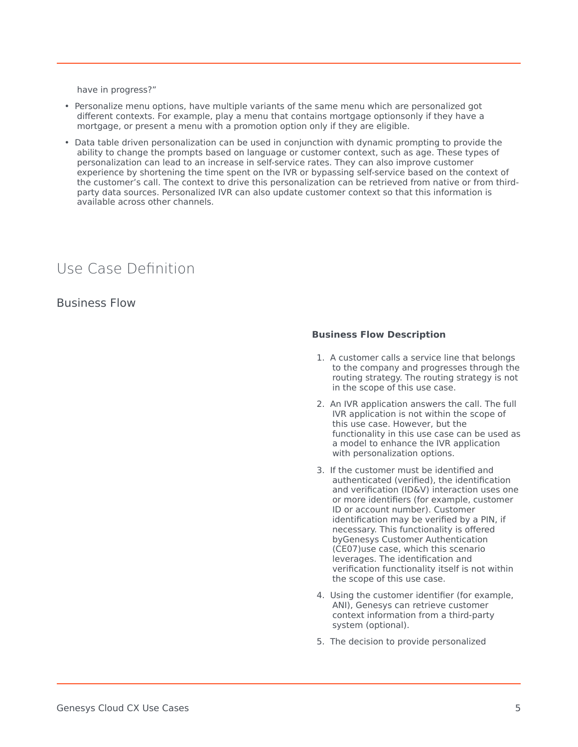have in progress?"

- Personalize menu options, have multiple variants of the same menu which are personalized got different contexts. For example, play a menu that contains mortgage optionsonly if they have a mortgage, or present a menu with a promotion option only if they are eligible.
- Data table driven personalization can be used in conjunction with dynamic prompting to provide the ability to change the prompts based on language or customer context, such as age. These types of personalization can lead to an increase in self-service rates. They can also improve customer experience by shortening the time spent on the IVR or bypassing self-service based on the context of the customer's call. The context to drive this personalization can be retrieved from native or from thirdparty data sources. Personalized IVR can also update customer context so that this information is available across other channels.

## <span id="page-4-0"></span>Use Case Definition

<span id="page-4-1"></span>Business Flow

#### **Business Flow Description**

- 1. A customer calls a service line that belongs to the company and progresses through the routing strategy. The routing strategy is not in the scope of this use case.
- 2. An IVR application answers the call. The full IVR application is not within the scope of this use case. However, but the functionality in this use case can be used as a model to enhance the IVR application with personalization options.
- 3. If the customer must be identified and authenticated (verified), the identification and verification (ID&V) interaction uses one or more identifiers (for example, customer ID or account number). Customer identification may be verified by a PIN, if necessary. This functionality is offered byGenesys Customer Authentication (CE07)use case, which this scenario leverages. The identification and verification functionality itself is not within the scope of this use case.
- 4. Using the customer identifier (for example, ANI), Genesys can retrieve customer context information from a third-party system (optional).
- 5. The decision to provide personalized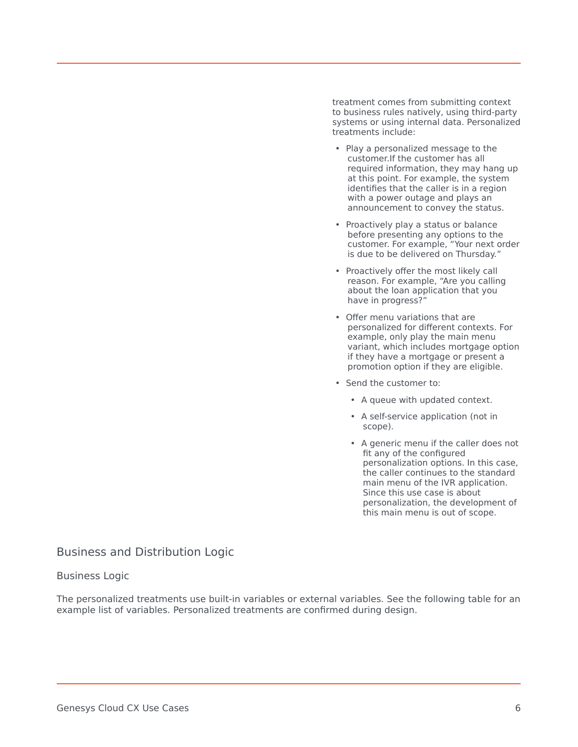treatment comes from submitting context to business rules natively, using third-party systems or using internal data. Personalized treatments include:

- Play a personalized message to the customer.If the customer has all required information, they may hang up at this point. For example, the system identifies that the caller is in a region with a power outage and plays an announcement to convey the status.
- Proactively play a status or balance before presenting any options to the customer. For example, "Your next order is due to be delivered on Thursday."
- Proactively offer the most likely call reason. For example, "Are you calling about the loan application that you have in progress?"
- Offer menu variations that are personalized for different contexts. For example, only play the main menu variant, which includes mortgage option if they have a mortgage or present a promotion option if they are eligible.
- Send the customer to:
	- A queue with updated context.
	- A self-service application (not in scope).
	- A generic menu if the caller does not fit any of the configured personalization options. In this case, the caller continues to the standard main menu of the IVR application. Since this use case is about personalization, the development of this main menu is out of scope.

#### <span id="page-5-0"></span>Business and Distribution Logic

#### Business Logic

The personalized treatments use built-in variables or external variables. See the following table for an example list of variables. Personalized treatments are confirmed during design.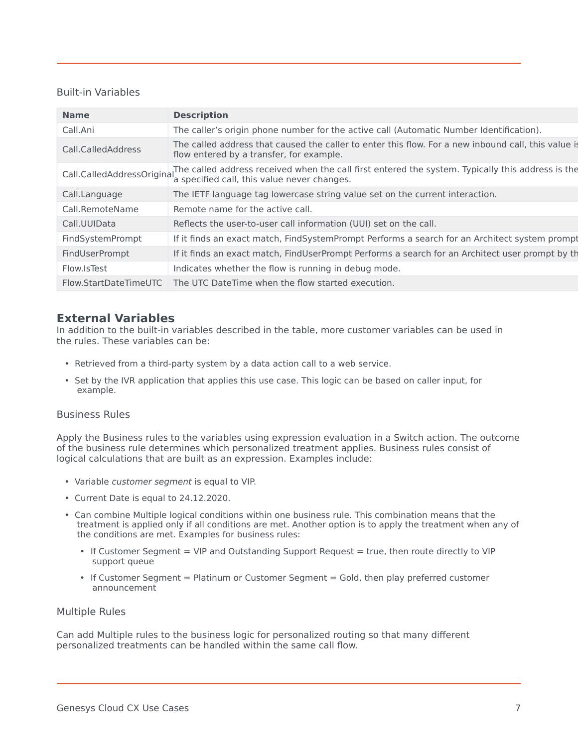#### Built-in Variables

| <b>Name</b>                | <b>Description</b>                                                                                                                                |
|----------------------------|---------------------------------------------------------------------------------------------------------------------------------------------------|
| Call.Ani                   | The caller's origin phone number for the active call (Automatic Number Identification).                                                           |
| Call.CalledAddress         | The called address that caused the caller to enter this flow. For a new inbound call, this value is<br>flow entered by a transfer, for example.   |
| Call.CalledAddressOriginal | The called address received when the call first entered the system. Typically this address is the<br>'a specified call, this value never changes. |
| Call.Language              | The IETF language tag lowercase string value set on the current interaction.                                                                      |
| Call.RemoteName            | Remote name for the active call.                                                                                                                  |
| Call.UUIData               | Reflects the user-to-user call information (UUI) set on the call.                                                                                 |
| FindSystemPrompt           | If it finds an exact match, FindSystemPrompt Performs a search for an Architect system prompt                                                     |
| FindUserPrompt             | If it finds an exact match, FindUserPrompt Performs a search for an Architect user prompt by the                                                  |
| Flow.IsTest                | Indicates whether the flow is running in debug mode.                                                                                              |
| Flow.StartDateTimeUTC      | The UTC DateTime when the flow started execution.                                                                                                 |

#### **External Variables**

In addition to the built-in variables described in the table, more customer variables can be used in the rules. These variables can be:

- Retrieved from a third-party system by a data action call to a web service.
- Set by the IVR application that applies this use case. This logic can be based on caller input, for example.

#### Business Rules

Apply the Business rules to the variables using expression evaluation in a Switch action. The outcome of the business rule determines which personalized treatment applies. Business rules consist of logical calculations that are built as an expression. Examples include:

- Variable *customer segment* is equal to VIP.
- Current Date is equal to 24.12.2020.
- Can combine Multiple logical conditions within one business rule. This combination means that the treatment is applied only if all conditions are met. Another option is to apply the treatment when any of the conditions are met. Examples for business rules:
	- If Customer Segment = VIP and Outstanding Support Request = true, then route directly to VIP support queue
	- If Customer Segment = Platinum or Customer Segment = Gold, then play preferred customer announcement

#### Multiple Rules

Can add Multiple rules to the business logic for personalized routing so that many different personalized treatments can be handled within the same call flow.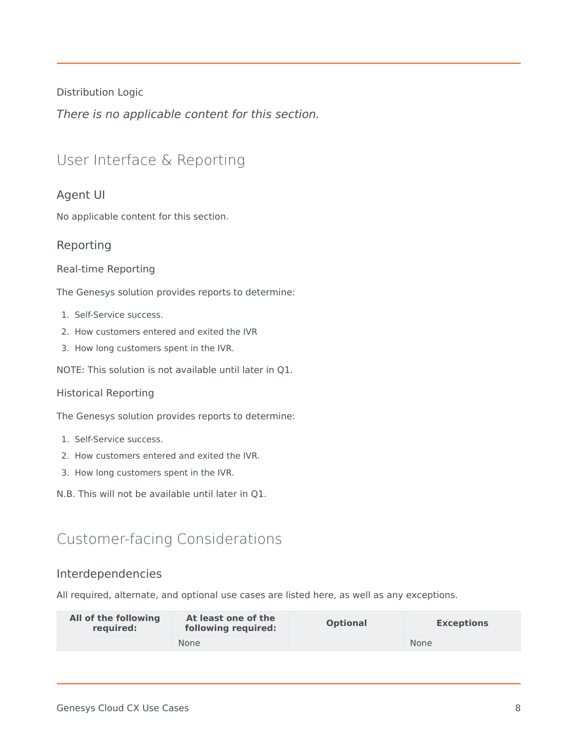Distribution Logic

*There is no applicable content for this section.*

## <span id="page-7-0"></span>User Interface & Reporting

#### <span id="page-7-1"></span>Agent UI

No applicable content for this section.

#### <span id="page-7-2"></span>Reporting

#### Real-time Reporting

The Genesys solution provides reports to determine:

- 1. Self-Service success.
- 2. How customers entered and exited the IVR
- 3. How long customers spent in the IVR.

NOTE: This solution is not available until later in Q1.

#### Historical Reporting

The Genesys solution provides reports to determine:

- 1. Self-Service success.
- 2. How customers entered and exited the IVR.
- 3. How long customers spent in the IVR.
- N.B. This will not be available until later in Q1.

## <span id="page-7-3"></span>Customer-facing Considerations

#### <span id="page-7-4"></span>Interdependencies

All required, alternate, and optional use cases are listed here, as well as any exceptions.

| All of the following<br>reguired: | At least one of the<br>following required: | <b>Optional</b> | <b>Exceptions</b> |
|-----------------------------------|--------------------------------------------|-----------------|-------------------|
|                                   | <b>None</b>                                |                 | <b>None</b>       |